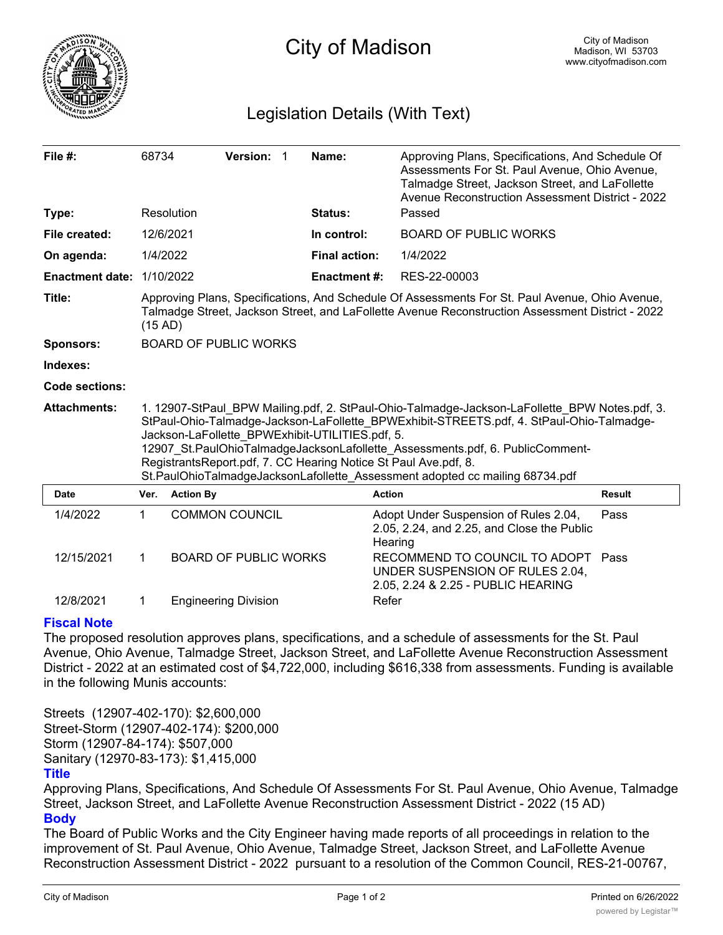

# Legislation Details (With Text)

| File $#$ :             | 68734                                                                                                                                                                                                                                                                                                                                                                                                                                                                            |                  | <b>Version:</b>              | -1 | Name:                | Approving Plans, Specifications, And Schedule Of<br>Assessments For St. Paul Avenue, Ohio Avenue,<br>Talmadge Street, Jackson Street, and LaFollette<br>Avenue Reconstruction Assessment District - 2022 |               |
|------------------------|----------------------------------------------------------------------------------------------------------------------------------------------------------------------------------------------------------------------------------------------------------------------------------------------------------------------------------------------------------------------------------------------------------------------------------------------------------------------------------|------------------|------------------------------|----|----------------------|----------------------------------------------------------------------------------------------------------------------------------------------------------------------------------------------------------|---------------|
| Type:                  |                                                                                                                                                                                                                                                                                                                                                                                                                                                                                  | Resolution       |                              |    | Status:              | Passed                                                                                                                                                                                                   |               |
| File created:          | 12/6/2021                                                                                                                                                                                                                                                                                                                                                                                                                                                                        |                  |                              |    | In control:          | <b>BOARD OF PUBLIC WORKS</b>                                                                                                                                                                             |               |
| On agenda:             | 1/4/2022                                                                                                                                                                                                                                                                                                                                                                                                                                                                         |                  |                              |    | <b>Final action:</b> | 1/4/2022                                                                                                                                                                                                 |               |
| <b>Enactment date:</b> | 1/10/2022                                                                                                                                                                                                                                                                                                                                                                                                                                                                        |                  |                              |    | <b>Enactment#:</b>   | RES-22-00003                                                                                                                                                                                             |               |
| Title:                 | Approving Plans, Specifications, And Schedule Of Assessments For St. Paul Avenue, Ohio Avenue,<br>Talmadge Street, Jackson Street, and LaFollette Avenue Reconstruction Assessment District - 2022<br>(15 AD)                                                                                                                                                                                                                                                                    |                  |                              |    |                      |                                                                                                                                                                                                          |               |
| <b>Sponsors:</b>       | <b>BOARD OF PUBLIC WORKS</b>                                                                                                                                                                                                                                                                                                                                                                                                                                                     |                  |                              |    |                      |                                                                                                                                                                                                          |               |
| Indexes:               |                                                                                                                                                                                                                                                                                                                                                                                                                                                                                  |                  |                              |    |                      |                                                                                                                                                                                                          |               |
| <b>Code sections:</b>  |                                                                                                                                                                                                                                                                                                                                                                                                                                                                                  |                  |                              |    |                      |                                                                                                                                                                                                          |               |
| <b>Attachments:</b>    | 1. 12907-StPaul_BPW Mailing.pdf, 2. StPaul-Ohio-Talmadge-Jackson-LaFollette_BPW Notes.pdf, 3.<br>StPaul-Ohio-Talmadge-Jackson-LaFollette BPWExhibit-STREETS.pdf, 4. StPaul-Ohio-Talmadge-<br>Jackson-LaFollette_BPWExhibit-UTILITIES.pdf, 5.<br>12907 St.PaulOhioTalmadgeJacksonLafollette Assessments.pdf, 6. PublicComment-<br>RegistrantsReport.pdf, 7. CC Hearing Notice St Paul Ave.pdf, 8.<br>St.PaulOhioTalmadgeJacksonLafollette Assessment adopted cc mailing 68734.pdf |                  |                              |    |                      |                                                                                                                                                                                                          |               |
| Date                   | Ver.                                                                                                                                                                                                                                                                                                                                                                                                                                                                             | <b>Action By</b> |                              |    |                      | <b>Action</b>                                                                                                                                                                                            | <b>Result</b> |
| 1/4/2022               | 1                                                                                                                                                                                                                                                                                                                                                                                                                                                                                |                  | <b>COMMON COUNCIL</b>        |    |                      | Adopt Under Suspension of Rules 2.04,<br>2.05, 2.24, and 2.25, and Close the Public<br>Hearing                                                                                                           | Pass          |
| 12/15/2021             | $\mathbf 1$                                                                                                                                                                                                                                                                                                                                                                                                                                                                      |                  | <b>BOARD OF PUBLIC WORKS</b> |    |                      | RECOMMEND TO COUNCIL TO ADOPT<br>UNDER SUSPENSION OF RULES 2.04,<br>2.05, 2.24 & 2.25 - PUBLIC HEARING                                                                                                   | Pass          |
| 12/8/2021              | 1                                                                                                                                                                                                                                                                                                                                                                                                                                                                                |                  | <b>Engineering Division</b>  |    |                      | Refer                                                                                                                                                                                                    |               |

# **Fiscal Note**

The proposed resolution approves plans, specifications, and a schedule of assessments for the St. Paul Avenue, Ohio Avenue, Talmadge Street, Jackson Street, and LaFollette Avenue Reconstruction Assessment District - 2022 at an estimated cost of \$4,722,000, including \$616,338 from assessments. Funding is available in the following Munis accounts:

Streets (12907-402-170): \$2,600,000 Street-Storm (12907-402-174): \$200,000 Storm (12907-84-174): \$507,000 Sanitary (12970-83-173): \$1,415,000 **Title**

Approving Plans, Specifications, And Schedule Of Assessments For St. Paul Avenue, Ohio Avenue, Talmadge Street, Jackson Street, and LaFollette Avenue Reconstruction Assessment District - 2022 (15 AD) **Body**

The Board of Public Works and the City Engineer having made reports of all proceedings in relation to the improvement of St. Paul Avenue, Ohio Avenue, Talmadge Street, Jackson Street, and LaFollette Avenue Reconstruction Assessment District - 2022 pursuant to a resolution of the Common Council, RES-21-00767,